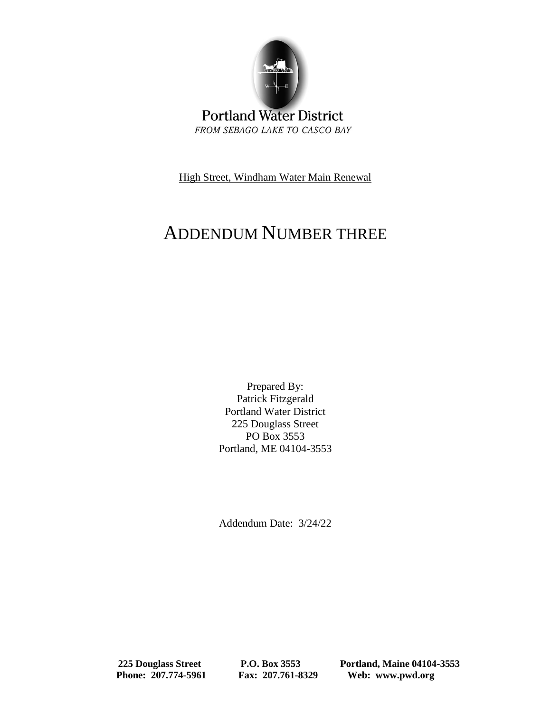

**Portland Water District** FROM SEBAGO LAKE TO CASCO BAY

High Street, Windham Water Main Renewal

## ADDENDUM NUMBER THREE

Prepared By: Patrick Fitzgerald Portland Water District 225 Douglass Street PO Box 3553 Portland, ME 04104-3553

Addendum Date: 3/24/22

 **225 Douglass Street P.O. Box 3553 Portland, Maine 04104-3553 Phone: 207.774-5961 Fax: 207.761-8329 Web: www.pwd.org**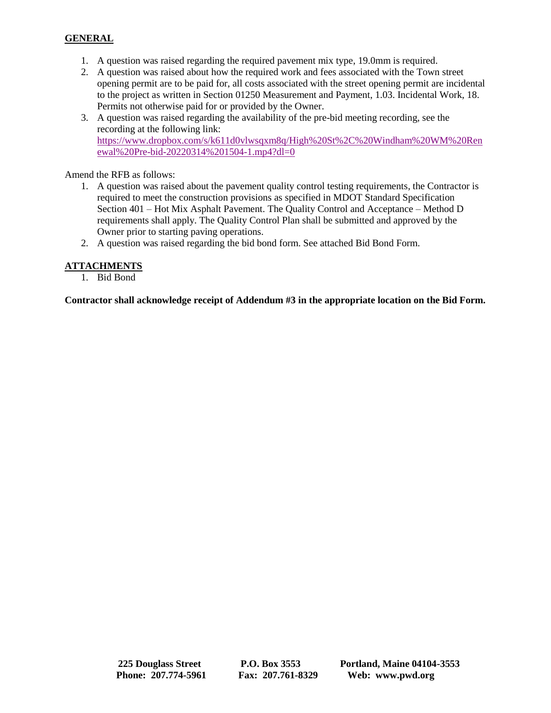## **GENERAL**

- 1. A question was raised regarding the required pavement mix type, 19.0mm is required.
- 2. A question was raised about how the required work and fees associated with the Town street opening permit are to be paid for, all costs associated with the street opening permit are incidental to the project as written in Section 01250 Measurement and Payment, 1.03. Incidental Work, 18. Permits not otherwise paid for or provided by the Owner.
- 3. A question was raised regarding the availability of the pre-bid meeting recording, see the recording at the following link: [https://www.dropbox.com/s/k611d0vlwsqxm8q/High%20St%2C%20Windham%20WM%20Ren](https://www.dropbox.com/s/k611d0vlwsqxm8q/High%20St%2C%20Windham%20WM%20Renewal%20Pre-bid-20220314%201504-1.mp4?dl=0) [ewal%20Pre-bid-20220314%201504-1.mp4?dl=0](https://www.dropbox.com/s/k611d0vlwsqxm8q/High%20St%2C%20Windham%20WM%20Renewal%20Pre-bid-20220314%201504-1.mp4?dl=0)

Amend the RFB as follows:

- 1. A question was raised about the pavement quality control testing requirements, the Contractor is required to meet the construction provisions as specified in MDOT Standard Specification Section 401 – Hot Mix Asphalt Pavement. The Quality Control and Acceptance – Method D requirements shall apply. The Quality Control Plan shall be submitted and approved by the Owner prior to starting paving operations.
- 2. A question was raised regarding the bid bond form. See attached Bid Bond Form.

## **ATTACHMENTS**

1. Bid Bond

**Contractor shall acknowledge receipt of Addendum #3 in the appropriate location on the Bid Form.**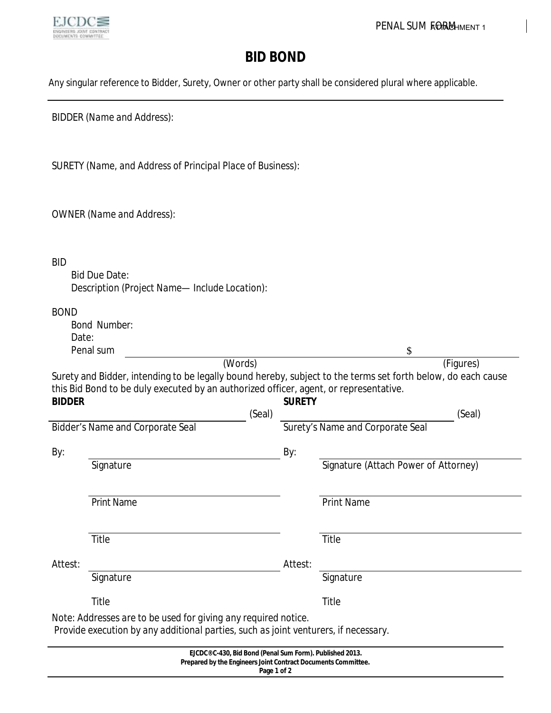

## **BID BOND**

Any singular reference to Bidder, Surety, Owner or other party shall be considered plural where applicable.

BIDDER *(Name and Address)*:

SURETY *(Name, and Address of Principal Place of Business)*:

OWNER *(Name and Address)*:

BID

Bid Due Date: Description *(Project Name— Include Location)*:

| <b>BOND</b>                             |                                                                                                                                                       |                                         |                                             |  |
|-----------------------------------------|-------------------------------------------------------------------------------------------------------------------------------------------------------|-----------------------------------------|---------------------------------------------|--|
|                                         | <b>Bond Number:</b>                                                                                                                                   |                                         |                                             |  |
| Date:                                   |                                                                                                                                                       |                                         |                                             |  |
| <b>Penal sum</b>                        |                                                                                                                                                       |                                         | \$                                          |  |
|                                         | (Words)                                                                                                                                               |                                         | (Figures)                                   |  |
|                                         | Surety and Bidder, intending to be legally bound hereby, subject to the terms set forth below, do each cause                                          |                                         |                                             |  |
|                                         | this Bid Bond to be duly executed by an authorized officer, agent, or representative.                                                                 |                                         |                                             |  |
| <b>BIDDER</b>                           |                                                                                                                                                       | <b>SURETY</b>                           |                                             |  |
|                                         | (Seal)                                                                                                                                                |                                         | (Seal)                                      |  |
| <b>Bidder's Name and Corporate Seal</b> |                                                                                                                                                       | <b>Surety's Name and Corporate Seal</b> |                                             |  |
| By:                                     |                                                                                                                                                       | By:                                     |                                             |  |
|                                         | <b>Signature</b>                                                                                                                                      |                                         | <b>Signature (Attach Power of Attorney)</b> |  |
|                                         | <b>Print Name</b>                                                                                                                                     |                                         | <b>Print Name</b>                           |  |
|                                         | <b>Title</b>                                                                                                                                          |                                         | <b>Title</b>                                |  |
| Attest:                                 |                                                                                                                                                       | Attest:                                 |                                             |  |
|                                         | <b>Signature</b>                                                                                                                                      |                                         | <b>Signature</b>                            |  |
|                                         | <b>Title</b>                                                                                                                                          |                                         | <b>Title</b>                                |  |
|                                         | Note: Addresses are to be used for giving any required notice.<br>Provide execution by any additional parties, such as joint venturers, if necessary. |                                         |                                             |  |

| EJCDC® C-430, Bid Bond (Penal Sum Form). Published 2013.             |  |
|----------------------------------------------------------------------|--|
| <b>Prepared by the Engineers Joint Contract Documents Committee.</b> |  |
| Page 1 of 2                                                          |  |